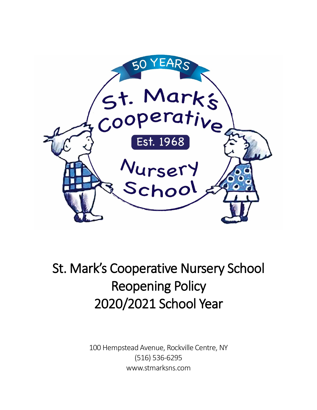

St. Mark's Cooperative Nursery School Reopening Policy 2020/2021 School Year

> 100 Hempstead Avenue, Rockville Centre, NY (516) 536-6295 www.stmarksns.com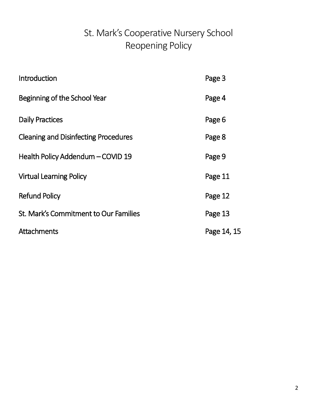## St. Mark's Cooperative Nursery School Reopening Policy

| Introduction                                | Page 3      |
|---------------------------------------------|-------------|
| Beginning of the School Year                | Page 4      |
| <b>Daily Practices</b>                      | Page 6      |
| <b>Cleaning and Disinfecting Procedures</b> | Page 8      |
| Health Policy Addendum - COVID 19           | Page 9      |
| <b>Virtual Learning Policy</b>              | Page 11     |
| <b>Refund Policy</b>                        | Page 12     |
| St. Mark's Commitment to Our Families       | Page 13     |
| Attachments                                 | Page 14, 15 |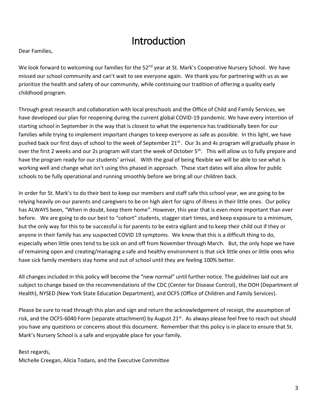### Introduction

Dear Families,

We look forward to welcoming our families for the 52<sup>nd</sup> year at St. Mark's Cooperative Nursery School. We have missed our school community and can't wait to see everyone again. We thank you for partnering with us as we prioritize the health and safety of our community, while continuing our tradition of offering a quality early childhood program.

Through great research and collaboration with local preschools and the Office of Child and Family Services, we have developed our plan for reopening during the current global COVID-19 pandemic. We have every intention of starting school in September in the way that is closest to what the experience has traditionally been for our families while trying to implement important changes to keep everyone as safe as possible. In this light, we have pushed back our first days of school to the week of September  $21^{st}$ . Our 3s and 4s program will gradually phase in over the first 2 weeks and our 2s program will start the week of October 5<sup>th</sup>. This will allow us to fully prepare and have the program ready for our students' arrival. With the goal of being flexible we will be able to see what is working well and change what isn't using this phased in approach. These start dates will also allow for public schools to be fully operational and running smoothly before we bring all our children back.

In order for St. Mark's to do their best to keep our members and staff safe this school year, we are going to be relying heavily on our parents and caregivers to be on high alert for signs of illness in their little ones. Our policy has ALWAYS been, "When in doubt, keep them home". However, this year that is even more important than ever before. We are going to do our best to "cohort" students, stagger start times, and keep exposure to a minimum, but the only way for this to be successful is for parents to be extra vigilant and to keep their child out if they or anyone in their family has any suspected COVID 19 symptoms. We know that this is a difficult thing to do, especially when little ones tend to be sick on and off from November through March. But, the only hope we have of remaining open and creating/managing a safe and healthy environment is that sick little ones or little ones who have sick family members stay home and out of school until they are feeling 100% better.

All changes included in this policy will become the "new normal" until further notice. The guidelines laid out are subject to change based on the recommendations of the CDC (Center for Disease Control), the DOH (Department of Health), NYSED (New York State Education Department), and OCFS (Office of Children and Family Services).

Please be sure to read through this plan and sign and return the acknowledgement of receipt, the assumption of risk, and the OCFS-6040 Form (separate attachment) by August 21<sup>st</sup>. As always please feel free to reach out should you have any questions or concerns about this document. Remember that this policy is in place to ensure that St. Mark's Nursery School is a safe and enjoyable place for your family.

Best regards,

Michelle Creegan, Alicia Todaro, and the Executive Committee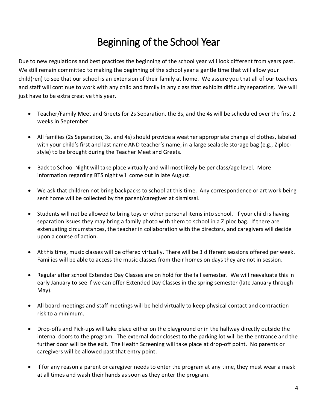## Beginning of the School Year

Due to new regulations and best practices the beginning of the school year will look different from years past. We still remain committed to making the beginning of the school year a gentle time that will allow your child(ren) to see that our school is an extension of their family at home. We assure you that all of our teachers and staff will continue to work with any child and family in any class that exhibits difficulty separating. We will just have to be extra creative this year.

- Teacher/Family Meet and Greets for 2s Separation, the 3s, and the 4s will be scheduled over the first 2 weeks in September.
- All families (2s Separation, 3s, and 4s) should provide a weather appropriate change of clothes, labeled with your child's first and last name AND teacher's name, in a large sealable storage bag (e.g., Ziplocstyle) to be brought during the Teacher Meet and Greets.
- Back to School Night will take place virtually and will most likely be per class/age level. More information regarding BTS night will come out in late August.
- We ask that children not bring backpacks to school at this time. Any correspondence or art work being sent home will be collected by the parent/caregiver at dismissal.
- Students will not be allowed to bring toys or other personal items into school. If your child is having separation issues they may bring a family photo with them to school in a Ziploc bag. If there are extenuating circumstances, the teacher in collaboration with the directors, and caregivers will decide upon a course of action.
- At this time, music classes will be offered virtually. There will be 3 different sessions offered per week. Families will be able to access the music classes from their homes on days they are not in session.
- Regular after school Extended Day Classes are on hold for the fall semester. We will reevaluate this in early January to see if we can offer Extended Day Classes in the spring semester (late January through May).
- All board meetings and staff meetings will be held virtually to keep physical contact and contraction risk to a minimum.
- Drop-offs and Pick-ups will take place either on the playground or in the hallway directly outside the internal doors to the program. The external door closest to the parking lot will be the entrance and the further door will be the exit. The Health Screening will take place at drop-off point. No parents or caregivers will be allowed past that entry point.
- If for any reason a parent or caregiver needs to enter the program at any time, they must wear a mask at all times and wash their hands as soon as they enter the program.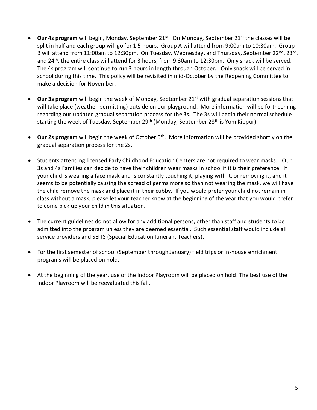- Our 4s program will begin, Monday, September 21<sup>st</sup>. On Monday, September 21<sup>st</sup> the classes will be split in half and each group will go for 1.5 hours. Group A will attend from 9:00am to 10:30am. Group B will attend from 11:00am to 12:30pm. On Tuesday, Wednesday, and Thursday, September 22<sup>nd</sup>, 23<sup>rd</sup>, and 24<sup>th</sup>, the entire class will attend for 3 hours, from 9:30am to 12:30pm. Only snack will be served. The 4s program will continue to run 3 hours in length through October. Only snack will be served in school during this time. This policy will be revisited in mid-October by the Reopening Committee to make a decision for November.
- **Our 3s program** will begin the week of Monday, September 21<sup>st</sup> with gradual separation sessions that will take place (weather-permitting) outside on our playground. More information will be forthcoming regarding our updated gradual separation process for the 3s. The 3s will begin their normal schedule starting the week of Tuesday, September 29<sup>th</sup> (Monday, September 28<sup>th</sup> is Yom Kippur).
- Our 2s program will begin the week of October 5<sup>th</sup>. More information will be provided shortly on the gradual separation process for the 2s.
- Students attending licensed Early Childhood Education Centers are not required to wear masks. Our 3s and 4s Families can decide to have their children wear masks in school if it is their preference. If your child is wearing a face mask and is constantly touching it, playing with it, or removing it, and it seems to be potentially causing the spread of germs more so than not wearing the mask, we will have the child remove the mask and place it in their cubby. If you would prefer your child not remain in class without a mask, please let your teacher know at the beginning of the year that you would prefer to come pick up your child in this situation.
- The current guidelines do not allow for any additional persons, other than staff and students to be admitted into the program unless they are deemed essential. Such essential staff would include all service providers and SEITS (Special Education Itinerant Teachers).
- For the first semester of school (September through January) field trips or in-house enrichment programs will be placed on hold.
- At the beginning of the year, use of the Indoor Playroom will be placed on hold. The best use of the Indoor Playroom will be reevaluated this fall.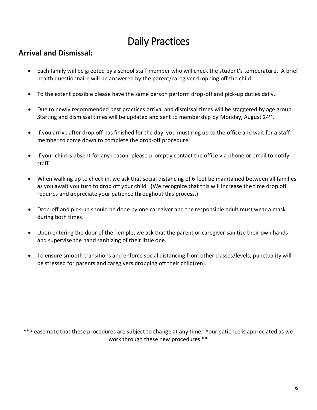### Daily Practices

### **Arrival and Dismissal:**

- Each family will be greeted by a school staff member who will check the student's temperature. A brief health questionnaire will be answered by the parent/caregiver dropping off the child.
- To the extent possible please have the same person perform drop-off and pick-up duties daily.
- Due to newly recommended best practices arrival and dismissal times will be staggered by age group. Starting and dismissal times will be updated and sent to membership by Monday, August 24<sup>th</sup>.
- If you arrive after drop off has finished for the day, you must ring up to the office and wait for a staff member to come down to complete the drop-off procedure.
- If your child is absent for any reason, please promptly contact the office via phone or email to notify staff.
- When walking up to check in, we ask that social distancing of 6 feet be maintained between all families as you await you turn to drop off your child. (We recognize that this will increase the time drop off requires and appreciate your patience throughout this process.)
- Drop-off and pick-up should be done by one caregiver and the responsible adult must wear a mask during both times.
- Upon entering the door of the Temple, we ask that the parent or caregiver sanitize their own hands and supervise the hand sanitizing of their little one.
- To ensure smooth transitions and enforce social distancing from other classes/levels, punctuality will be stressed for parents and caregivers dropping off their child(ren).

\*\*Please note that these procedures are subject to change at any time. Your patience is appreciated as we work through these new procedures.\*\*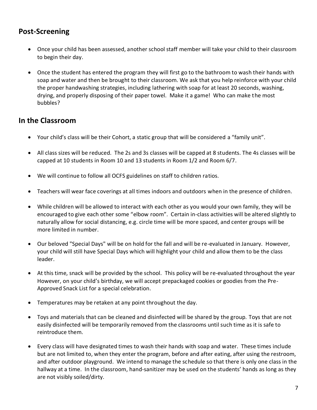### **Post-Screening**

- Once your child has been assessed, another school staff member will take your child to their classroom to begin their day.
- Once the student has entered the program they will first go to the bathroom to wash their hands with soap and water and then be brought to their classroom. We ask that you help reinforce with your child the proper handwashing strategies, including lathering with soap for at least 20 seconds, washing, drying, and properly disposing of their paper towel. Make it a game! Who can make the most bubbles?

#### **In the Classroom**

- Your child's class will be their Cohort, a static group that will be considered a "family unit".
- All class sizes will be reduced. The 2s and 3s classes will be capped at 8 students. The 4s classes will be capped at 10 students in Room 10 and 13 students in Room 1/2 and Room 6/7.
- We will continue to follow all OCFS guidelines on staff to children ratios.
- Teachers will wear face coverings at all times indoors and outdoors when in the presence of children.
- While children will be allowed to interact with each other as you would your own family, they will be encouraged to give each other some "elbow room". Certain in-class activities will be altered slightly to naturally allow for social distancing, e.g. circle time will be more spaced, and center groups will be more limited in number.
- Our beloved "Special Days" will be on hold for the fall and will be re-evaluated in January. However, your child will still have Special Days which will highlight your child and allow them to be the class leader.
- At this time, snack will be provided by the school. This policy will be re-evaluated throughout the year However, on your child's birthday, we will accept prepackaged cookies or goodies from the Pre-Approved Snack List for a special celebration.
- Temperatures may be retaken at any point throughout the day.
- Toys and materials that can be cleaned and disinfected will be shared by the group. Toys that are not easily disinfected will be temporarily removed from the classrooms until such time as it is safe to reintroduce them.
- Every class will have designated times to wash their hands with soap and water. These times include but are not limited to, when they enter the program, before and after eating, after using the restroom, and after outdoor playground. We intend to manage the schedule so that there is only one class in the hallway at a time. In the classroom, hand-sanitizer may be used on the students' hands as long as they are not visibly soiled/dirty.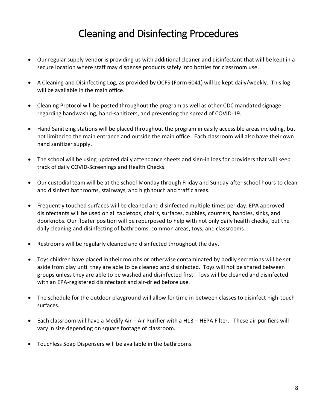## Cleaning and Disinfecting Procedures

- Our regular supply vendor is providing us with additional cleaner and disinfectant that will be kept in a secure location where staff may dispense products safely into bottles for classroom use.
- A Cleaning and Disinfecting Log, as provided by OCFS (Form 6041) will be kept daily/weekly. This log will be available in the main office.
- Cleaning Protocol will be posted throughout the program as well as other CDC mandated signage regarding handwashing, hand-sanitizers, and preventing the spread of COVID-19.
- Hand Sanitizing stations will be placed throughout the program in easily accessible areas including, but not limited to the main entrance and outside the main office. Each classroom will also have their own hand sanitizer supply.
- The school will be using updated daily attendance sheets and sign-in logs for providers that will keep track of daily COVID-Screenings and Health Checks.
- Our custodial team will be at the school Monday through Friday and Sunday after school hours to clean and disinfect bathrooms, stairways, and high touch and traffic areas.
- Frequently touched surfaces will be cleaned and disinfected multiple times per day. EPA approved disinfectants will be used on all tabletops, chairs, surfaces, cubbies, counters, handles, sinks, and doorknobs. Our floater position will be repurposed to help with not only daily health checks, but the daily cleaning and disinfecting of bathrooms, common areas, toys, and classrooms.
- Restrooms will be regularly cleaned and disinfected throughout the day.
- Toys children have placed in their mouths or otherwise contaminated by bodily secretions will be set aside from play until they are able to be cleaned and disinfected. Toys will not be shared between groups unless they are able to be washed and disinfected first. Toys will be cleaned and disinfected with an EPA-registered disinfectant and air-dried before use.
- The schedule for the outdoor playground will allow for time in between classes to disinfect high-touch surfaces.
- Each classroom will have a Medify Air Air Purifier with a H13 HEPA Filter. These air purifiers will vary in size depending on square footage of classroom.
- Touchless Soap Dispensers will be available in the bathrooms.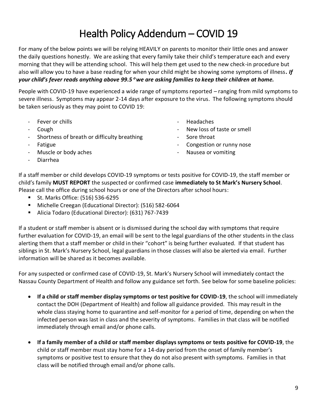# Health Policy Addendum – COVID 19

For many of the below points we will be relying HEAVILY on parents to monitor their little ones and answer the daily questions honestly. We are asking that every family take their child's temperature each and every morning that they will be attending school. This will help them get used to the new check-in procedure but also will allow you to have a base reading for when your child might be showing some symptoms of illness*. If your child's fever reads anything above 99.5 we are asking families to keep their children at home.* 

People with COVID-19 have experienced a wide range of symptoms reported – ranging from mild symptoms to severe illness. Symptoms may appear 2-14 days after exposure to the virus. The following symptoms should be taken seriously as they may point to COVID 19:

- Fever or chills
- Cough
- Shortness of breath or difficulty breathing
- **Fatigue**
- Muscle or body aches
- Sore throat Congestion or runny nose
	- Nausea or vomiting

New loss of taste or smell

- Headaches

- Diarrhea

If a staff member or child develops COVID-19 symptoms or tests positive for COVID-19, the staff member or child's family **MUST REPORT** the suspected or confirmed case **immediately to St Mark's Nursery School**. Please call the office during school hours or one of the Directors after school hours:

- St. Marks Office: (516) 536-6295
- Michelle Creegan (Educational Director): (516) 582-6064
- Alicia Todaro (Educational Director): (631) 767-7439

If a student or staff member is absent or is dismissed during the school day with symptoms that require further evaluation for COVID-19, an email will be sent to the legal guardians of the other students in the class alerting them that a staff member or child in their "cohort" is being further evaluated. If that student has siblings in St. Mark's Nursery School, legal guardians in those classes will also be alerted via email. Further information will be shared as it becomes available.

For any suspected or confirmed case of COVID-19, St. Mark's Nursery School will immediately contact the Nassau County Department of Health and follow any guidance set forth. See below for some baseline policies:

- **If a child or staff member display symptoms or test positive for COVID-19**, the school will immediately contact the DOH (Department of Health) and follow all guidance provided. This may result in the whole class staying home to quarantine and self-monitor for a period of time, depending on when the infected person was last in class and the severity of symptoms. Families in that class will be notified immediately through email and/or phone calls.
- **If a family member of a child or staff member displays symptoms or tests positive for COVID-19**, the child or staff member must stay home for a 14-day period from the onset of family member's symptoms or positive test to ensure that they do not also present with symptoms. Families in that class will be notified through email and/or phone calls.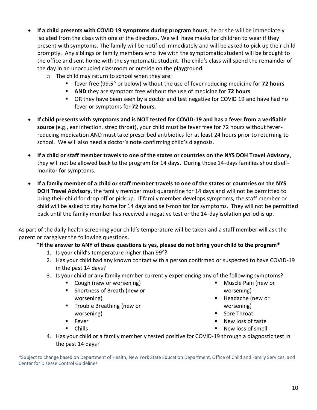- **If a child presents with COVID 19 symptoms during program hours**, he or she will be immediately isolated from the class with one of the directors. We will have masks for children to wear if they present with symptoms. The family will be notified immediately and will be asked to pick up their child promptly. Any siblings or family members who live with the symptomatic student will be brought to the office and sent home with the symptomatic student. The child's class will spend the remainder of the day in an unoccupied classroom or outside on the playground.
	- o The child may return to school when they are:
		- fever free (99.5<sup>°</sup> or below) without the use of fever reducing medicine for **72 hours**
		- **AND** they are symptom free without the use of medicine for **72 hours**
		- OR they have been seen by a doctor and test negative for COVID 19 and have had no fever or symptoms for **72 hours**.
- **If child presents with symptoms and is NOT tested for COVID-19 and has a fever from a verifiable source** (e.g., ear infection, strep throat), your child must be fever free for 72 hours without feverreducing medication AND must take prescribed antibiotics for at least 24 hours prior to returning to school. We will also need a doctor's note confirming child's diagnosis.
- **If a child or staff member travels to one of the states or countries on the NYS DOH Travel Advisory**, they will not be allowed back to the program for 14 days. During those 14-days families should selfmonitor for symptoms.
- **If a family member of a child or staff member travels to one of the states or countries on the NYS DOH Travel Advisory**, the family member must quarantine for 14 days and will not be permitted to bring their child for drop off or pick up. If family member develops symptoms, the staff member or child will be asked to stay home for 14 days and self-monitor for symptoms. They will not be permitted back until the family member has received a negative test or the 14-day isolation period is up.

As part of the daily health screening your child's temperature will be taken and a staff member will ask the parent or caregiver the following questions**.** 

#### **\*If the answer to ANY of these questions is yes, please do not bring your child to the program\***

- 1. Is your child's temperature higher than  $99^{\circ}$ ?
- 2. Has your child had any known contact with a person confirmed or suspected to have COVID-19 in the past 14 days?
- 3. Is your child or any family member currently experiencing any of the following symptoms?
	- Cough (new or worsening)
	- Shortness of Breath (new or worsening)
	- Trouble Breathing (new or worsening)
	- Fever ▪ Chills
- Muscle Pain (new or worsening)
- Headache (new or worsening)
- Sore Throat
- New loss of taste
- New loss of smell
- 4. Has your child or a family member y tested positive for COVID-19 through a diagnostic test in the past 14 days?

\*Subject to change based on Department of Health, New York State Education Department, Office of Child and Family Services, and Center for Disease Control Guidelines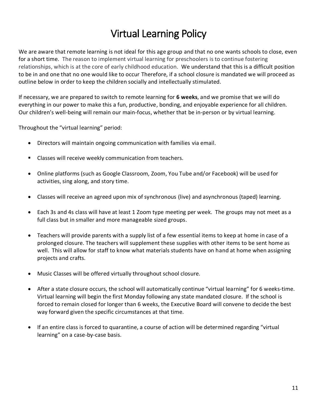# Virtual Learning Policy

We are aware that remote learning is not ideal for this age group and that no one wants schools to close, even for a short time. The reason to implement virtual learning for preschoolers is to continue fostering relationships, which is at the core of early childhood education. We understand that this is a difficult position to be in and one that no one would like to occur Therefore, if a school closure is mandated we will proceed as outline below in order to keep the children socially and intellectually stimulated.

If necessary, we are prepared to switch to remote learning for **6 weeks**, and we promise that we will do everything in our power to make this a fun, productive, bonding, and enjoyable experience for all children. Our children's well-being will remain our main-focus, whether that be in-person or by virtual learning.

Throughout the "virtual learning" period:

- Directors will maintain ongoing communication with families via email.
- Classes will receive weekly communication from teachers.
- Online platforms (such as Google Classroom, Zoom, You Tube and/or Facebook) will be used for activities, sing along, and story time.
- Classes will receive an agreed upon mix of synchronous (live) and asynchronous (taped) learning.
- Each 3s and 4s class will have at least 1 Zoom type meeting per week. The groups may not meet as a full class but in smaller and more manageable sized groups.
- Teachers will provide parents with a supply list of a few essential items to keep at home in case of a prolonged closure. The teachers will supplement these supplies with other items to be sent home as well. This will allow for staff to know what materials students have on hand at home when assigning projects and crafts.
- Music Classes will be offered virtually throughout school closure.
- After a state closure occurs, the school will automatically continue "virtual learning" for 6 weeks-time. Virtual learning will begin the first Monday following any state mandated closure. If the school is forced to remain closed for longer than 6 weeks, the Executive Board will convene to decide the best way forward given the specific circumstances at that time.
- If an entire class is forced to quarantine, a course of action will be determined regarding "virtual learning" on a case-by-case basis.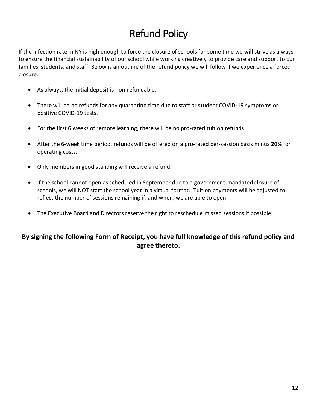# Refund Policy

If the infection rate in NY is high enough to force the closure of schools for some time we will strive as always to ensure the financial sustainability of our school while working creatively to provide care and support to our families, students, and staff. Below is an outline of the refund policy we will follow if we experience a forced closure:

- As always, the initial deposit is non-refundable.
- There will be no refunds for any quarantine time due to staff or student COVID-19 symptoms or positive COVID-19 tests.
- For the first 6 weeks of remote learning, there will be no pro-rated tuition refunds.
- After the 6-week time period, refunds will be offered on a pro-rated per-session basis minus **20%** for operating costs.
- Only members in good standing will receive a refund.
- If the school cannot open as scheduled in September due to a government-mandated closure of schools, we will NOT start the school year in a virtual format. Tuition payments will be adjusted to reflect the number of sessions remaining if, and when, we are able to open.
- The Executive Board and Directors reserve the right to reschedule missed sessions if possible.

#### **By signing the following Form of Receipt, you have full knowledge of this refund policy and agree thereto.**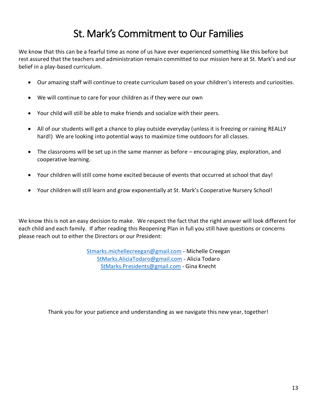# St. Mark's Commitment to Our Families

We know that this can be a fearful time as none of us have ever experienced something like this before but rest assured that the teachers and administration remain committed to our mission here at St. Mark's and our belief in a play-based curriculum.

- Our amazing staff will continue to create curriculum based on your children's interests and curiosities.
- We will continue to care for your children as if they were our own
- Your child will still be able to make friends and socialize with their peers.
- All of our students will get a chance to play outside everyday (unless it is freezing or raining REALLY hard!) We are looking into potential ways to maximize time outdoors for all classes.
- The classrooms will be set up in the same manner as before encouraging play, exploration, and cooperative learning.
- Your children will still come home excited because of events that occurred at school that day!
- Your children will still learn and grow exponentially at St. Mark's Cooperative Nursery School!

We know this is not an easy decision to make. We respect the fact that the right answer will look different for each child and each family. If after reading this Reopening Plan in full you still have questions or concerns please reach out to either the Directors or our President:

> [Stmarks.michellecreegan@gmail.com](mailto:Stmarks.michellecreegan@gmail.com) - Michelle Creegan [StMarks.AliciaTodaro@gmail.com](mailto:StMarks.AliciaTodaro@gmail.com) - Alicia Todaro [StMarks.Presidents@gmail.com](mailto:StMarks.Presidents@gmail.com) - Gina Knecht

Thank you for your patience and understanding as we navigate this new year, together!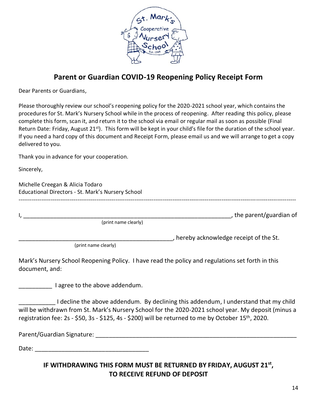

#### **Parent or Guardian COVID-19 Reopening Policy Receipt Form**

Dear Parents or Guardians,

Please thoroughly review our school's reopening policy for the 2020-2021 school year, which contains the procedures for St. Mark's Nursery School while in the process of reopening. After reading this policy, please complete this form, scan it, and return it to the school via email or regular mail as soon as possible (Final Return Date: Friday, August  $21^{st}$ ). This form will be kept in your child's file for the duration of the school year. If you need a hard copy of this document and Receipt Form, please email us and we will arrange to get a copy delivered to you.

Thank you in advance for your cooperation.

Sincerely,

| Michelle Creegan & Alicia Todaro | Educational Directors - St. Mark's Nursery School |                        |
|----------------------------------|---------------------------------------------------|------------------------|
|                                  |                                                   | the parent/guardian of |
|                                  | (print name clearly)                              |                        |

, hereby acknowledge receipt of the St.

(print name clearly)

Mark's Nursery School Reopening Policy. I have read the policy and regulations set forth in this document, and:

**EXECUTE:** I agree to the above addendum.

I decline the above addendum. By declining this addendum, I understand that my child will be withdrawn from St. Mark's Nursery School for the 2020-2021 school year. My deposit (minus a registration fee:  $2s - $50$ ,  $3s - $125$ ,  $4s - $200$ ) will be returned to me by October  $15<sup>th</sup>$ , 2020.

Parent/Guardian Signature: \_\_\_\_\_\_\_\_\_\_\_\_\_\_\_\_\_\_\_\_\_\_\_\_\_\_\_\_\_\_\_\_\_\_\_\_\_\_\_\_\_\_\_\_\_\_\_\_\_\_\_\_\_\_\_\_\_\_\_\_

Date: \_\_\_\_\_\_\_\_\_\_\_\_\_\_\_\_\_\_\_\_\_\_\_\_\_\_\_\_\_\_\_\_\_\_

#### **IF WITHDRAWING THIS FORM MUST BE RETURNED BY FRIDAY, AUGUST 21st , TO RECEIVE REFUND OF DEPOSIT**